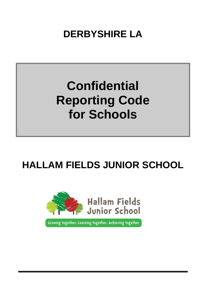**DERBYSHIRE LA**

# **Confidential Reporting Code for Schools**

## **HALLAM FIELDS JUNIOR SCHOOL**



Growing together, Learning together, Achieving together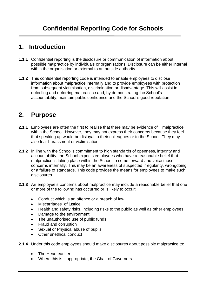## **1. Introduction**

- **1.1.1** Confidential reporting is the disclosure or communication of information about possible malpractice by individuals or organisations. Disclosure can be either internal within the organisation or external to an outside authority.
- **1.1.2** This confidential reporting code is intended to enable employees to disclose information about malpractice internally and to provide employees with protection from subsequent victimisation, discrimination or disadvantage. This will assist in detecting and deterring malpractice and, by demonstrating the School's accountability, maintain public confidence and the School's good reputation.

## **2. Purpose**

- **2.1.1** Employees are often the first to realise that there may be evidence of malpractice within the School. However, they may not express their concerns because they feel that speaking up would be disloyal to their colleagues or to the School. They may also fear harassment or victimisation.
- **2.1.2** In line with the School's commitment to high standards of openness, integrity and accountability, the School expects employees who have a reasonable belief that malpractice is taking place within the School to come forward and voice those concerns internally. This may be an awareness of suspected irregularity, wrongdoing or a failure of standards. This code provides the means for employees to make such disclosures.
- **2.1.3** An employee's concerns about malpractice may include a reasonable belief that one or more of the following has occurred or is likely to occur:
	- Conduct which is an offence or a breach of law
	- Miscarriages of justice
	- Health and safety risks, including risks to the public as well as other employees
	- Damage to the environment
	- The unauthorised use of public funds
	- Fraud and corruption
	- Sexual or Physical abuse of pupils
	- Other unethical conduct
- **2.1.4** Under this code employees should make disclosures about possible malpractice to:
	- The Headteacher
	- Where this is inappropriate, the Chair of Governors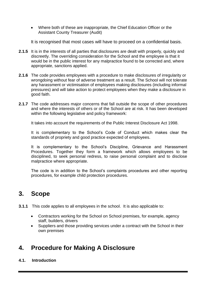Where both of these are inappropriate, the Chief Education Officer or the Assistant County Treasurer (Audit)

It is recognised that most cases will have to proceed on a confidential basis.

- **2.1.5** It is in the interests of all parties that disclosures are dealt with properly, quickly and discreetly. The overriding consideration for the School and the employee is that it would be in the public interest for any malpractice found to be corrected and, where appropriate, sanctions applied.
- **2.1.6** The code provides employees with a procedure to make disclosures of irregularity or wrongdoing without fear of adverse treatment as a result. The School will not tolerate any harassment or victimisation of employees making disclosures (including informal pressures) and will take action to protect employees when they make a disclosure in good faith.
- **2.1.7** The code addresses major concerns that fall outside the scope of other procedures and where the interests of others or of the School are at risk. It has been developed within the following legislative and policy framework:

It takes into account the requirements of the Public Interest Disclosure Act 1998.

It is complementary to the School's Code of Conduct which makes clear the standards of propriety and good practice expected of employees.

It is complementary to the School's Discipline, Grievance and Harassment Procedures. Together they form a framework which allows employees to be disciplined, to seek personal redress, to raise personal complaint and to disclose malpractice where appropriate.

The code is in addition to the School's complaints procedures and other reporting procedures, for example child protection procedures.

### **3. Scope**

- **3.1.1** This code applies to all employees in the school. It is also applicable to:
	- Contractors working for the School on School premises, for example, agency staff, builders, drivers
	- Suppliers and those providing services under a contract with the School in their own premises

## **4. Procedure for Making A Disclosure**

**4.1. Introduction**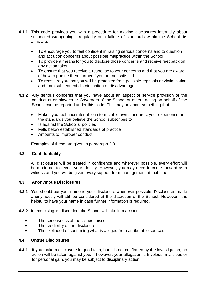- **4.1.1** This code provides you with a procedure for making disclosures internally about suspected wrongdoing, irregularity or a failure of standards within the School. Its aims are:
	- To encourage you to feel confident in raising serious concerns and to question and act upon concerns about possible malpractice within the School
	- To provide a means for you to disclose those concerns and receive feedback on any action taken
	- To ensure that you receive a response to your concerns and that you are aware of how to pursue them further if you are not satisfied
	- To reassure you that you will be protected from possible reprisals or victimisation and from subsequent discrimination or disadvantage
- **4.1.2** Any serious concerns that you have about an aspect of service provision or the conduct of employees or Governors of the School or others acting on behalf of the School can be reported under this code. This may be about something that:
	- Makes you feel uncomfortable in terms of known standards, your experience or the standards you believe the School subscribes to
	- Is against the School's policies
	- Falls below established standards of practice
	- Amounts to improper conduct

Examples of these are given in paragraph 2.3.

#### **4.2 Confidentiality**

All disclosures will be treated in confidence and wherever possible, every effort will be made not to reveal your identity. However, you may need to come forward as a witness and you will be given every support from management at that time.

#### **4.3 Anonymous Disclosures**

- **4.3.1** You should put your name to your disclosure whenever possible. Disclosures made anonymously will still be considered at the discretion of the School. However, it is helpful to have your name in case further information is required.
- **4.3.2** In exercising its discretion, the School will take into account:
	- The seriousness of the issues raised
	- The credibility of the disclosure
	- The likelihood of confirming what is alleged from attributable sources

#### **4.4 Untrue Disclosures**

**4.4.1** If you make a disclosure in good faith, but it is not confirmed by the investigation, no action will be taken against you. If however, your allegation is frivolous, malicious or for personal gain, you may be subject to disciplinary action.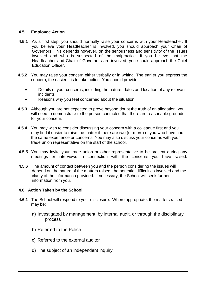#### **4.5 Employee Action**

- **4.5.1** As a first step, you should normally raise your concerns with your Headteacher. If you believe your Headteacher is involved, you should approach your Chair of Governors. This depends however, on the seriousness and sensitivity of the issues involved and who is suspected of the malpractice. If you believe that the Headteacher and Chair of Governors are involved, you should approach the Chief Education Officer.
- **4.5.2** You may raise your concern either verbally or in writing. The earlier you express the concern, the easier it is to take action. You should provide:
	- Details of your concerns, including the nature, dates and location of any relevant incidents
	- Reasons why you feel concerned about the situation
- **4.5.3** Although you are not expected to prove beyond doubt the truth of an allegation, you will need to demonstrate to the person contacted that there are reasonable grounds for your concern.
- **4.5.4** You may wish to consider discussing your concern with a colleague first and you may find it easier to raise the matter if there are two (or more) of you who have had the same experience or concerns. You may also discuss your concerns with your trade union representative on the staff of the school.
- **4.5.5** You may invite your trade union or other representative to be present during any meetings or interviews in connection with the concerns you have raised.
- **4.5.6** The amount of contact between you and the person considering the issues will depend on the nature of the matters raised, the potential difficulties involved and the clarity of the information provided. If necessary, the School will seek further information from you.

#### **4.6 Action Taken by the School**

- **4.6.1** The School will respond to your disclosure. Where appropriate, the matters raised may be:
	- a) Investigated by management, by internal audit, or through the disciplinary process
	- b) Referred to the Police
	- c) Referred to the external auditor
	- d) The subject of an independent inquiry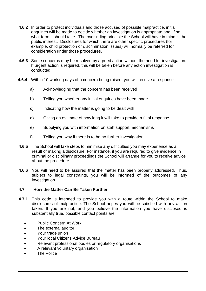- **4.6.2** In order to protect individuals and those accused of possible malpractice, initial enquiries will be made to decide whether an investigation is appropriate and, if so, what form it should take. The over-riding principle the School will have in mind is the public interest. Disclosures for which there are other specific procedures (for example, child protection or discrimination issues) will normally be referred for consideration under those procedures.
- **4.6.3** Some concerns may be resolved by agreed action without the need for investigation. If urgent action is required, this will be taken before any action investigation is conducted.
- **4.6.4** Within 10 working days of a concern being raised, you will receive a response:
	- a) Acknowledging that the concern has been received
	- b) Telling you whether any initial enquiries have been made
	- c) Indicating how the matter is going to be dealt with
	- d) Giving an estimate of how long it will take to provide a final response
	- e) Supplying you with information on staff support mechanisms
	- f) Telling you why if there is to be no further investigation
- **4.6.5** The School will take steps to minimise any difficulties you may experience as a result of making a disclosure. For instance, if you are required to give evidence in criminal or disciplinary proceedings the School will arrange for you to receive advice about the procedure.
- **4.6.6** You will need to be assured that the matter has been properly addressed. Thus, subject to legal constraints, you will be informed of the outcomes of any investigation.

#### **4.7 How the Matter Can Be Taken Further**

- **4.7.1** This code is intended to provide you with a route within the School to make disclosures of malpractice. The School hopes you will be satisfied with any action taken. If you are not, and you believe the information you have disclosed is substantially true, possible contact points are:
	- Public Concern At Work
	- The external auditor
	- Your trade union
	- Your local Citizens Advice Bureau
	- Relevant professional bodies or regulatory organisations
	- A relevant voluntary organisation
	- The Police